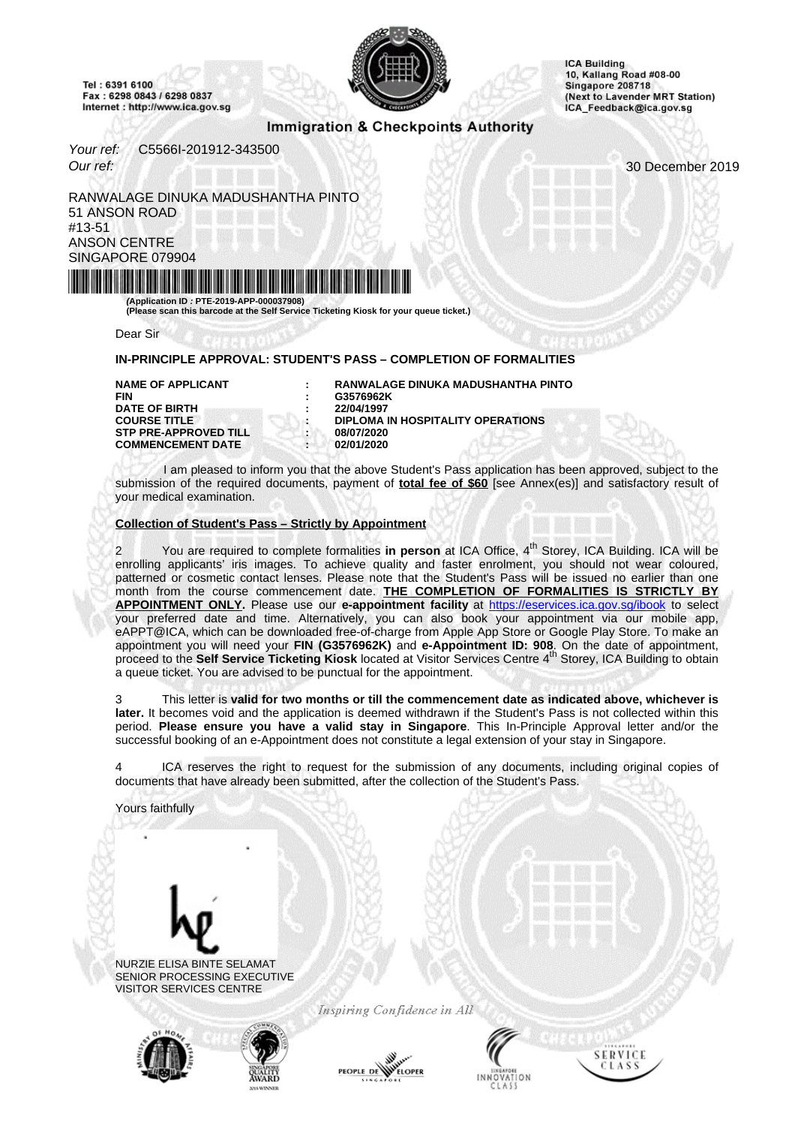<span id="page-0-0"></span>Tel: 6391 6100 Fax: 6298 0843 / 6298 0837 Internet : http://www.ica.gov.sg



**ICA Building** 10, Kallang Road #08-00 Singapore 208718 (Next to Lavender MRT Station) ICA\_Feedback@ica.gov.sg

# **Immigration & Checkpoints Authority**

Your ref: C5566I-201912-343500 Our ref: 30 December 2019

RANWALAGE DINUKA MADUSHANTHA PINTO 51 ANSON ROAD #13-51 ANSON CENTRE SINGAPORE 079904



**(Please scan this barcode at the Self Service Ticketing Kiosk for your queue ticket.)**

Dear Sir

### **IN-PRINCIPLE APPROVAL: STUDENT'S PASS – COMPLETION OF FORMALITIES**

**FIN : G3576962K DATE OF BIRTH COURSE TITLE STP PRE-APPROVED TILL : 08/07/2020<br>
COMMENCEMENT DATE : 02/01/2020 COMMENCEMENT DATE** 

**NAME OF APPLICANT : RANWALAGE DINUKA MADUSHANTHA PINTO DIPLOMA IN HOSPITALITY OPERATIONS**<br>08/07/2020

I am pleased to inform you that the above Student's Pass application has been approved, subject to the submission of the required documents, payment of **total fee of \$60** [see Annex(es)] and satisfactory result of your medical examination.

#### **Collection of Student's Pass – Strictly by Appointment**

You are required to complete formalities in person at ICA Office, 4<sup>th</sup> Storey, ICA Building. ICA will be enrolling applicants' iris images. To achieve quality and faster enrolment, you should not wear coloured, patterned or cosmetic contact lenses. Please note that the Student's Pass will be issued no earlier than one month from the course commencement date. **THE COMPLETION OF FORMALITIES IS STRICTLY BY** APPOINTMENT ONLY. Please use our e-appointment facility at http[s://eservices.ica.gov.sg/ibook](https://eservices.ica.gov.sg/ibook) to select your preferred date and time. Alternatively, you can also book your appointment via our mobile app, eAPPT@ICA, which can be downloaded free-of-charge from Apple App Store or Google Play Store. To make an appointment you will need your FIN (G3576962K) and e-Appointment ID: 908. On the date of appointment,<br>proceed to the Self Service Ticketing Kiosk located at Visitor Services Centre 4<sup>th</sup> Storey, ICA Building to obtain a queue ticket. You are advised to be punctual for the appointment.

3 This letter is **valid for two months or till the commencement date as indicated above, whichever is later.** It becomes void and the application is deemed withdrawn if the Student's Pass is not collected within this period. **Please ensure you have a valid stay in Singapore**. This In-Principle Approval letter and/or the successful booking of an e-Appointment does not constitute a legal extension of your stay in Singapore.

ICA reserves the right to request for the submission of any documents, including original copies of documents that have already been submitted, after the collection of the Student's Pass.

Yours faithfully



NURZIE ELISA BINTE SELAMAT SENIOR PROCESSING EXECUTIVE VISITOR SERVICES CENTRE



Inspiring Confidence in All





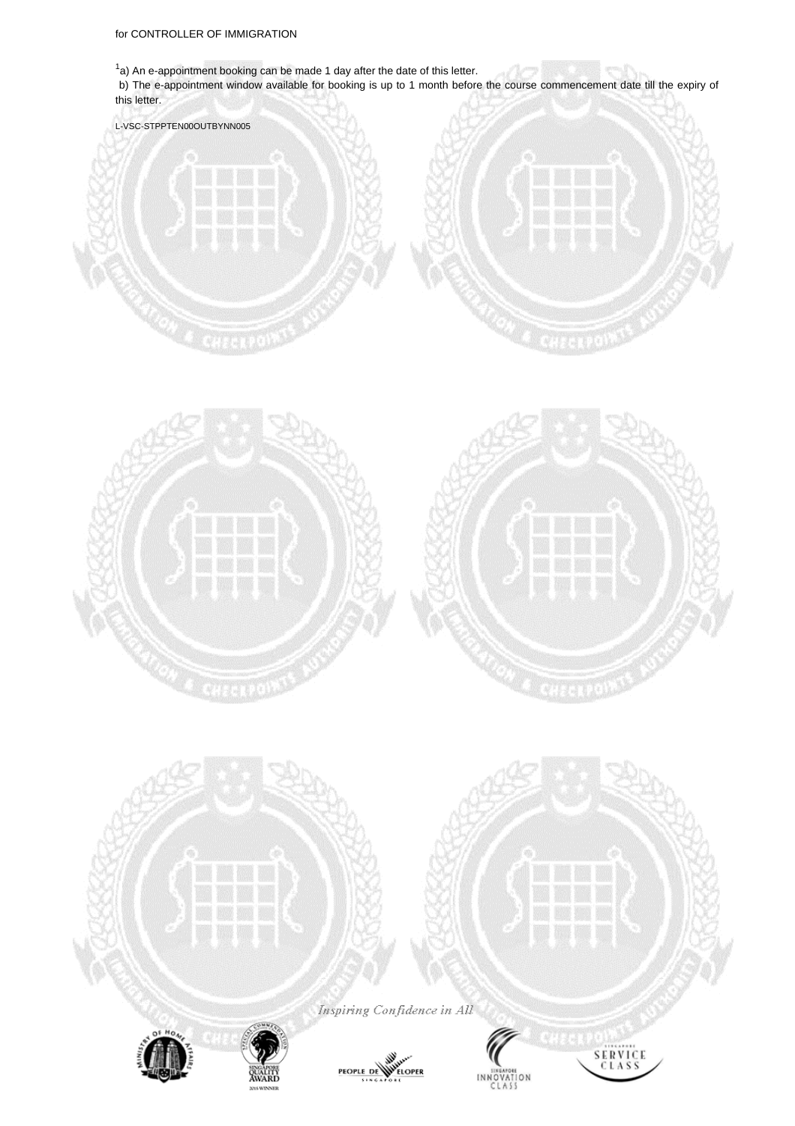$1a$ ) An e-appointment booking can be made 1 day after the date of this letter.

b) The e-appointment window available for booking is up to 1 month before the course commencement date till the expiry of this letter.





Inspiring Confidence in All



*<u>AWARI</u>* 







end V

la X